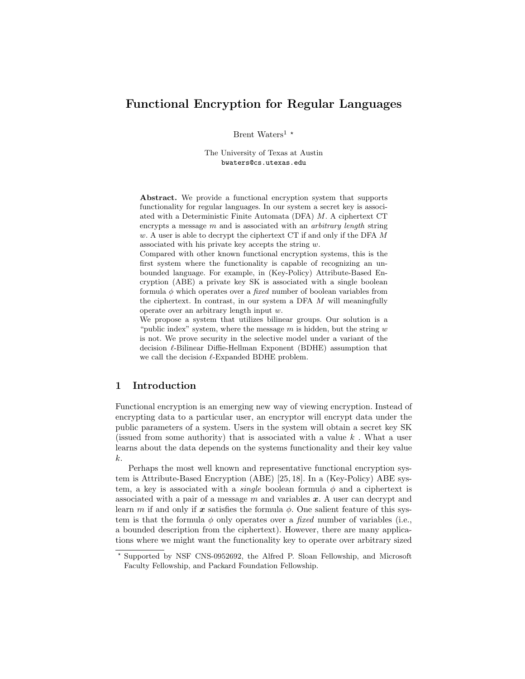# Functional Encryption for Regular Languages

Brent Waters<sup>1</sup>  $^{\star}$ 

The University of Texas at Austin bwaters@cs.utexas.edu

Abstract. We provide a functional encryption system that supports functionality for regular languages. In our system a secret key is associated with a Deterministic Finite Automata (DFA) M. A ciphertext CT encrypts a message  $m$  and is associated with an *arbitrary length* string  $w$ . A user is able to decrypt the ciphertext CT if and only if the DFA  $M$ associated with his private key accepts the string w.

Compared with other known functional encryption systems, this is the first system where the functionality is capable of recognizing an unbounded language. For example, in (Key-Policy) Attribute-Based Encryption (ABE) a private key SK is associated with a single boolean formula  $\phi$  which operates over a *fixed* number of boolean variables from the ciphertext. In contrast, in our system a DFA  $M$  will meaningfully operate over an arbitrary length input w.

We propose a system that utilizes bilinear groups. Our solution is a "public index" system, where the message  $m$  is hidden, but the string  $w$ is not. We prove security in the selective model under a variant of the decision  $\ell$ -Bilinear Diffie-Hellman Exponent (BDHE) assumption that we call the decision  $\ell$ -Expanded BDHE problem.

## 1 Introduction

Functional encryption is an emerging new way of viewing encryption. Instead of encrypting data to a particular user, an encryptor will encrypt data under the public parameters of a system. Users in the system will obtain a secret key SK (issued from some authority) that is associated with a value  $k$ . What a user learns about the data depends on the systems functionality and their key value k.

Perhaps the most well known and representative functional encryption system is Attribute-Based Encryption (ABE) [25, 18]. In a (Key-Policy) ABE system, a key is associated with a *single* boolean formula  $\phi$  and a ciphertext is associated with a pair of a message  $m$  and variables  $x$ . A user can decrypt and learn m if and only if x satisfies the formula  $\phi$ . One salient feature of this system is that the formula  $\phi$  only operates over a *fixed* number of variables (i.e., a bounded description from the ciphertext). However, there are many applications where we might want the functionality key to operate over arbitrary sized

<sup>?</sup> Supported by NSF CNS-0952692, the Alfred P. Sloan Fellowship, and Microsoft Faculty Fellowship, and Packard Foundation Fellowship.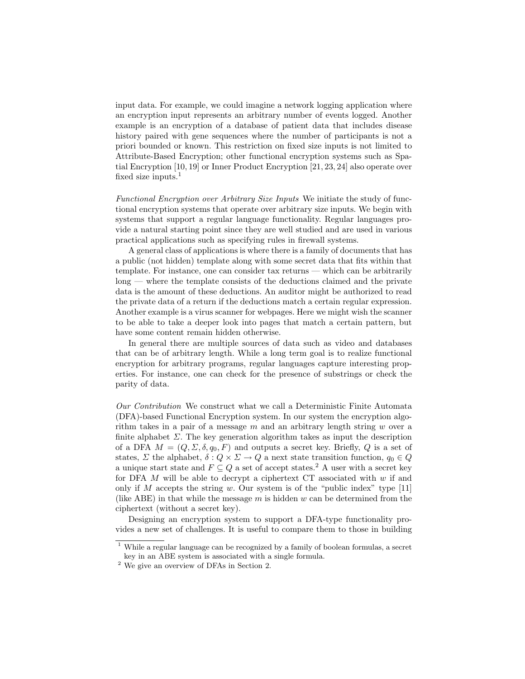input data. For example, we could imagine a network logging application where an encryption input represents an arbitrary number of events logged. Another example is an encryption of a database of patient data that includes disease history paired with gene sequences where the number of participants is not a priori bounded or known. This restriction on fixed size inputs is not limited to Attribute-Based Encryption; other functional encryption systems such as Spatial Encryption [10, 19] or Inner Product Encryption [21, 23, 24] also operate over fixed size inputs. $<sup>1</sup>$ </sup>

Functional Encryption over Arbitrary Size Inputs We initiate the study of functional encryption systems that operate over arbitrary size inputs. We begin with systems that support a regular language functionality. Regular languages provide a natural starting point since they are well studied and are used in various practical applications such as specifying rules in firewall systems.

A general class of applications is where there is a family of documents that has a public (not hidden) template along with some secret data that fits within that template. For instance, one can consider tax returns — which can be arbitrarily long — where the template consists of the deductions claimed and the private data is the amount of these deductions. An auditor might be authorized to read the private data of a return if the deductions match a certain regular expression. Another example is a virus scanner for webpages. Here we might wish the scanner to be able to take a deeper look into pages that match a certain pattern, but have some content remain hidden otherwise.

In general there are multiple sources of data such as video and databases that can be of arbitrary length. While a long term goal is to realize functional encryption for arbitrary programs, regular languages capture interesting properties. For instance, one can check for the presence of substrings or check the parity of data.

Our Contribution We construct what we call a Deterministic Finite Automata (DFA)-based Functional Encryption system. In our system the encryption algorithm takes in a pair of a message  $m$  and an arbitrary length string  $w$  over a finite alphabet  $\Sigma$ . The key generation algorithm takes as input the description of a DFA  $M = (Q, \Sigma, \delta, q_0, F)$  and outputs a secret key. Briefly, Q is a set of states,  $\Sigma$  the alphabet,  $\delta: Q \times \Sigma \to Q$  a next state transition function,  $q_0 \in Q$ a unique start state and  $F \subseteq Q$  a set of accept states.<sup>2</sup> A user with a secret key for DFA  $M$  will be able to decrypt a ciphertext CT associated with  $w$  if and only if M accepts the string w. Our system is of the "public index" type  $[11]$ (like ABE) in that while the message  $m$  is hidden  $w$  can be determined from the ciphertext (without a secret key).

Designing an encryption system to support a DFA-type functionality provides a new set of challenges. It is useful to compare them to those in building

<sup>1</sup> While a regular language can be recognized by a family of boolean formulas, a secret key in an ABE system is associated with a single formula.

<sup>2</sup> We give an overview of DFAs in Section 2.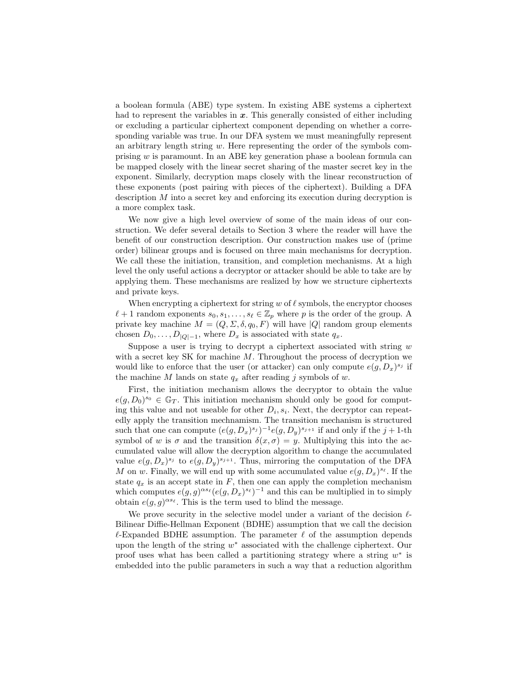a boolean formula (ABE) type system. In existing ABE systems a ciphertext had to represent the variables in  $x$ . This generally consisted of either including or excluding a particular ciphertext component depending on whether a corresponding variable was true. In our DFA system we must meaningfully represent an arbitrary length string  $w$ . Here representing the order of the symbols comprising w is paramount. In an ABE key generation phase a boolean formula can be mapped closely with the linear secret sharing of the master secret key in the exponent. Similarly, decryption maps closely with the linear reconstruction of these exponents (post pairing with pieces of the ciphertext). Building a DFA description M into a secret key and enforcing its execution during decryption is a more complex task.

We now give a high level overview of some of the main ideas of our construction. We defer several details to Section 3 where the reader will have the benefit of our construction description. Our construction makes use of (prime order) bilinear groups and is focused on three main mechanisms for decryption. We call these the initiation, transition, and completion mechanisms. At a high level the only useful actions a decryptor or attacker should be able to take are by applying them. These mechanisms are realized by how we structure ciphertexts and private keys.

When encrypting a ciphertext for string  $w$  of  $\ell$  symbols, the encryptor chooses  $\ell + 1$  random exponents  $s_0, s_1, \ldots, s_\ell \in \mathbb{Z}_p$  where p is the order of the group. A private key machine  $M = (Q, \Sigma, \delta, q_0, F)$  will have |Q| random group elements chosen  $D_0, \ldots, D_{|Q|-1}$ , where  $D_x$  is associated with state  $q_x$ .

Suppose a user is trying to decrypt a ciphertext associated with string  $w$ with a secret key SK for machine  $M$ . Throughout the process of decryption we would like to enforce that the user (or attacker) can only compute  $e(g, D_x)^{s_j}$  if the machine M lands on state  $q_x$  after reading j symbols of w.

First, the initiation mechanism allows the decryptor to obtain the value  $e(g, D_0)^{s_0} \in \mathbb{G}_T$ . This initiation mechanism should only be good for computing this value and not useable for other  $D_i$ ,  $s_i$ . Next, the decryptor can repeatedly apply the transition mechnamism. The transition mechanism is structured such that one can compute  $(e(g, D_x)^{s_j})^{-1}e(g, D_y)^{s_{j+1}}$  if and only if the  $j+1$ -th symbol of w is  $\sigma$  and the transition  $\delta(x, \sigma) = y$ . Multiplying this into the accumulated value will allow the decryption algorithm to change the accumulated value  $e(g, D_x)^{s_j}$  to  $e(g, D_y)^{s_{j+1}}$ . Thus, mirroring the computation of the DFA M on w. Finally, we will end up with some accumulated value  $e(g, D_x)^{s_{\ell}}$ . If the state  $q_x$  is an accept state in F, then one can apply the completion mechanism which computes  $e(g, g)^{\alpha s_{\ell}} (e(g, D_x)^{s_{\ell}})^{-1}$  and this can be multiplied in to simply obtain  $e(g, g)^{\alpha s_{\ell}}$ . This is the term used to blind the message.

We prove security in the selective model under a variant of the decision  $\ell$ -Bilinear Diffie-Hellman Exponent (BDHE) assumption that we call the decision  $\ell$ -Expanded BDHE assumption. The parameter  $\ell$  of the assumption depends upon the length of the string  $w^*$  associated with the challenge ciphertext. Our proof uses what has been called a partitioning strategy where a string  $w^*$  is embedded into the public parameters in such a way that a reduction algorithm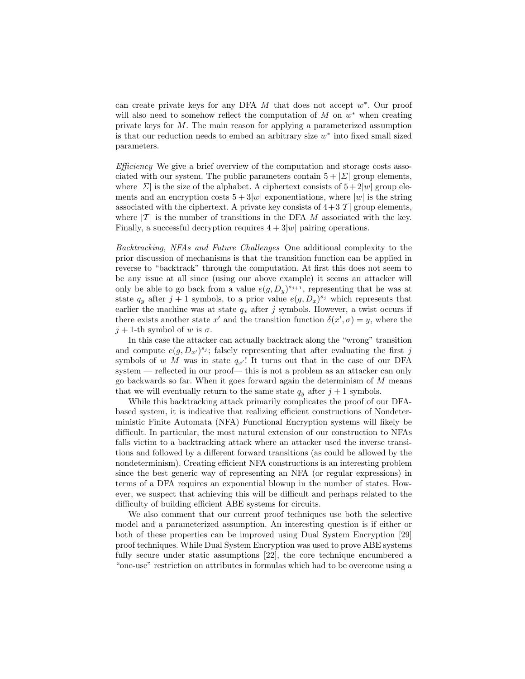can create private keys for any DFA  $M$  that does not accept  $w^*$ . Our proof will also need to somehow reflect the computation of  $M$  on  $w^*$  when creating private keys for M. The main reason for applying a parameterized assumption is that our reduction needs to embed an arbitrary size  $w^*$  into fixed small sized parameters.

Efficiency We give a brief overview of the computation and storage costs associated with our system. The public parameters contain  $5 + |\Sigma|$  group elements, where  $|\Sigma|$  is the size of the alphabet. A ciphertext consists of  $5+2|w|$  group elements and an encryption costs  $5 + 3|w|$  exponentiations, where  $|w|$  is the string associated with the ciphertext. A private key consists of  $4+3|T|$  group elements, where  $|T|$  is the number of transitions in the DFA M associated with the key. Finally, a successful decryption requires  $4 + 3|w|$  pairing operations.

Backtracking, NFAs and Future Challenges One additional complexity to the prior discussion of mechanisms is that the transition function can be applied in reverse to "backtrack" through the computation. At first this does not seem to be any issue at all since (using our above example) it seems an attacker will only be able to go back from a value  $e(g, D_y)^{s_{j+1}}$ , representing that he was at state  $q_y$  after  $j+1$  symbols, to a prior value  $e(g, D_x)^{s_j}$  which represents that earlier the machine was at state  $q_x$  after j symbols. However, a twist occurs if there exists another state x' and the transition function  $\delta(x', \sigma) = y$ , where the  $j + 1$ -th symbol of w is  $\sigma$ .

In this case the attacker can actually backtrack along the "wrong" transition and compute  $e(g, D_{x'})^{s_j}$ ; falsely representing that after evaluating the first j symbols of w M was in state  $q_{x'}$ ! It turns out that in the case of our DFA system — reflected in our proof— this is not a problem as an attacker can only go backwards so far. When it goes forward again the determinism of M means that we will eventually return to the same state  $q_y$  after  $j+1$  symbols.

While this backtracking attack primarily complicates the proof of our DFAbased system, it is indicative that realizing efficient constructions of Nondeterministic Finite Automata (NFA) Functional Encryption systems will likely be difficult. In particular, the most natural extension of our construction to NFAs falls victim to a backtracking attack where an attacker used the inverse transitions and followed by a different forward transitions (as could be allowed by the nondeterminism). Creating efficient NFA constructions is an interesting problem since the best generic way of representing an NFA (or regular expressions) in terms of a DFA requires an exponential blowup in the number of states. However, we suspect that achieving this will be difficult and perhaps related to the difficulty of building efficient ABE systems for circuits.

We also comment that our current proof techniques use both the selective model and a parameterized assumption. An interesting question is if either or both of these properties can be improved using Dual System Encryption [29] proof techniques. While Dual System Encryption was used to prove ABE systems fully secure under static assumptions [22], the core technique encumbered a "one-use" restriction on attributes in formulas which had to be overcome using a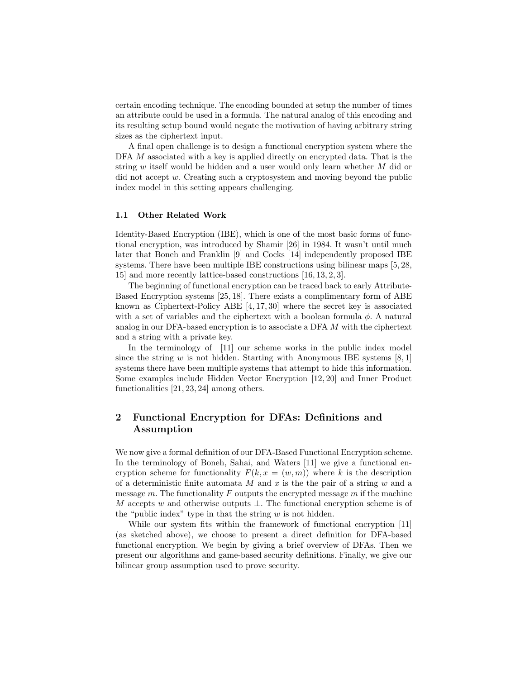certain encoding technique. The encoding bounded at setup the number of times an attribute could be used in a formula. The natural analog of this encoding and its resulting setup bound would negate the motivation of having arbitrary string sizes as the ciphertext input.

A final open challenge is to design a functional encryption system where the DFA M associated with a key is applied directly on encrypted data. That is the string w itself would be hidden and a user would only learn whether M did or did not accept w. Creating such a cryptosystem and moving beyond the public index model in this setting appears challenging.

#### 1.1 Other Related Work

Identity-Based Encryption (IBE), which is one of the most basic forms of functional encryption, was introduced by Shamir [26] in 1984. It wasn't until much later that Boneh and Franklin [9] and Cocks [14] independently proposed IBE systems. There have been multiple IBE constructions using bilinear maps [5, 28, 15] and more recently lattice-based constructions [16, 13, 2, 3].

The beginning of functional encryption can be traced back to early Attribute-Based Encryption systems [25, 18]. There exists a complimentary form of ABE known as Ciphertext-Policy ABE [4, 17, 30] where the secret key is associated with a set of variables and the ciphertext with a boolean formula  $\phi$ . A natural analog in our DFA-based encryption is to associate a DFA M with the ciphertext and a string with a private key.

In the terminology of [11] our scheme works in the public index model since the string w is not hidden. Starting with Anonymous IBE systems  $[8, 1]$ systems there have been multiple systems that attempt to hide this information. Some examples include Hidden Vector Encryption [12, 20] and Inner Product functionalities [21, 23, 24] among others.

## 2 Functional Encryption for DFAs: Definitions and Assumption

We now give a formal definition of our DFA-Based Functional Encryption scheme. In the terminology of Boneh, Sahai, and Waters [11] we give a functional encryption scheme for functionality  $F(k, x = (w, m))$  where k is the description of a deterministic finite automata M and x is the the pair of a string w and a message  $m$ . The functionality  $F$  outputs the encrypted message  $m$  if the machine M accepts w and otherwise outputs  $\bot$ . The functional encryption scheme is of the "public index" type in that the string  $w$  is not hidden.

While our system fits within the framework of functional encryption [11] (as sketched above), we choose to present a direct definition for DFA-based functional encryption. We begin by giving a brief overview of DFAs. Then we present our algorithms and game-based security definitions. Finally, we give our bilinear group assumption used to prove security.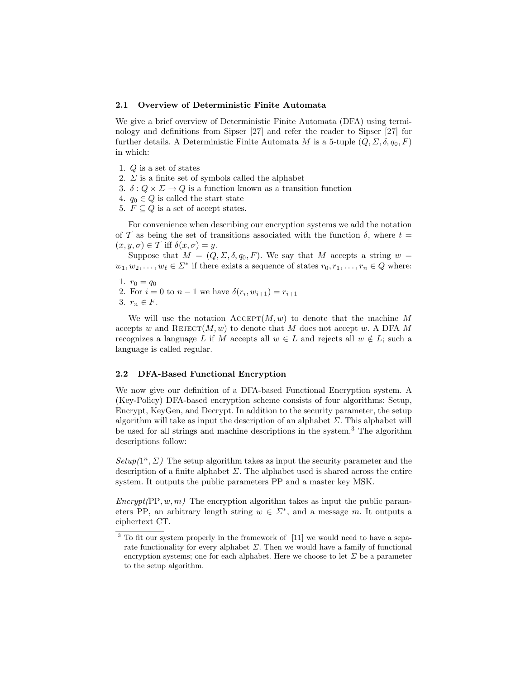#### 2.1 Overview of Deterministic Finite Automata

We give a brief overview of Deterministic Finite Automata (DFA) using terminology and definitions from Sipser [27] and refer the reader to Sipser [27] for further details. A Deterministic Finite Automata M is a 5-tuple  $(Q, \Sigma, \delta, q_0, F)$ in which:

- 1. Q is a set of states
- 2.  $\Sigma$  is a finite set of symbols called the alphabet
- 3.  $\delta: Q \times \Sigma \to Q$  is a function known as a transition function
- 4.  $q_0 \in Q$  is called the start state
- 5.  $F \subseteq Q$  is a set of accept states.

For convenience when describing our encryption systems we add the notation of T as being the set of transitions associated with the function  $\delta$ , where  $t =$  $(x, y, \sigma) \in \mathcal{T}$  iff  $\delta(x, \sigma) = y$ .

Suppose that  $M = (Q, \Sigma, \delta, q_0, F)$ . We say that M accepts a string  $w =$  $w_1, w_2, \ldots, w_\ell \in \Sigma^*$  if there exists a sequence of states  $r_0, r_1, \ldots, r_n \in Q$  where:

- 1.  $r_0 = q_0$
- 2. For  $i = 0$  to  $n 1$  we have  $\delta(r_i, w_{i+1}) = r_{i+1}$
- 3.  $r_n \in F$ .

We will use the notation  $\text{ACCEPT}(M, w)$  to denote that the machine M accepts w and REJECT $(M, w)$  to denote that M does not accept w. A DFA M recognizes a language L if M accepts all  $w \in L$  and rejects all  $w \notin L$ ; such a language is called regular.

#### 2.2 DFA-Based Functional Encryption

We now give our definition of a DFA-based Functional Encryption system. A (Key-Policy) DFA-based encryption scheme consists of four algorithms: Setup, Encrypt, KeyGen, and Decrypt. In addition to the security parameter, the setup algorithm will take as input the description of an alphabet  $\Sigma$ . This alphabet will be used for all strings and machine descriptions in the system.<sup>3</sup> The algorithm descriptions follow:

 $Setup(1^n, \Sigma)$  The setup algorithm takes as input the security parameter and the description of a finite alphabet  $\Sigma$ . The alphabet used is shared across the entire system. It outputs the public parameters PP and a master key MSK.

 $\text{Encrypt}(PP, w, m)$  The encryption algorithm takes as input the public parameters PP, an arbitrary length string  $w \in \Sigma^*$ , and a message m. It outputs a ciphertext CT.

<sup>&</sup>lt;sup>3</sup> To fit our system properly in the framework of [11] we would need to have a separate functionality for every alphabet  $\Sigma$ . Then we would have a family of functional encryption systems; one for each alphabet. Here we choose to let  $\Sigma$  be a parameter to the setup algorithm.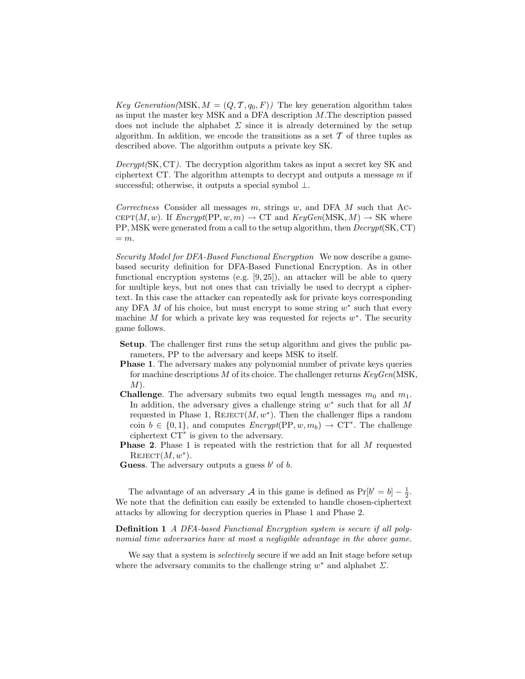Key Generation(MSK,  $M = (Q, T, q_0, F)$ ) The key generation algorithm takes as input the master key MSK and a DFA description M.The description passed does not include the alphabet  $\Sigma$  since it is already determined by the setup algorithm. In addition, we encode the transitions as a set  $\mathcal T$  of three tuples as described above. The algorithm outputs a private key SK.

Decrypt(SK, CT). The decryption algorithm takes as input a secret key SK and ciphertext CT. The algorithm attempts to decrypt and outputs a message  $m$  if successful; otherwise, it outputs a special symbol ⊥.

Correctness Consider all messages  $m$ , strings  $w$ , and DFA  $M$  such that Ac- $C\text{EPT}(M, w)$ . If  $\text{Encrypt}(PP, w, m) \to \text{CT}$  and  $\text{KeyGen}(MSK, M) \to \text{SK}$  where PP, MSK were generated from a call to the setup algorithm, then  $Decrypt(SK, CT)$  $=$   $m$ .

Security Model for DFA-Based Functional Encryption We now describe a gamebased security definition for DFA-Based Functional Encryption. As in other functional encryption systems (e.g. [9, 25]), an attacker will be able to query for multiple keys, but not ones that can trivially be used to decrypt a ciphertext. In this case the attacker can repeatedly ask for private keys corresponding any DFA  $M$  of his choice, but must encrypt to some string  $w^*$  such that every machine  $M$  for which a private key was requested for rejects  $w^*$ . The security game follows.

- Setup. The challenger first runs the setup algorithm and gives the public parameters, PP to the adversary and keeps MSK to itself.
- Phase 1. The adversary makes any polynomial number of private keys queries for machine descriptions M of its choice. The challenger returns  $KeyGen(MSK,$  $M$ ).
- **Challenge.** The adversary submits two equal length messages  $m_0$  and  $m_1$ . In addition, the adversary gives a challenge string  $w^*$  such that for all M requested in Phase 1,  $REJET(M, w^*)$ . Then the challenger flips a random coin  $b \in \{0, 1\}$ , and computes  $\text{Encrypt}(PP, w, m_b) \to \text{CT}^*$ . The challenge ciphertext CT<sup>∗</sup> is given to the adversary.
- **Phase 2.** Phase 1 is repeated with the restriction that for all M requested  $REJECT(M, w^*).$
- Guess. The adversary outputs a guess  $b'$  of  $b$ .

The advantage of an adversary A in this game is defined as  $Pr[b' = b] - \frac{1}{2}$ . We note that the definition can easily be extended to handle chosen-ciphertext attacks by allowing for decryption queries in Phase 1 and Phase 2.

Definition 1 A DFA-based Functional Encryption system is secure if all polynomial time adversaries have at most a negligible advantage in the above game.

We say that a system is *selectively* secure if we add an Init stage before setup where the adversary commits to the challenge string  $w^*$  and alphabet  $\Sigma$ .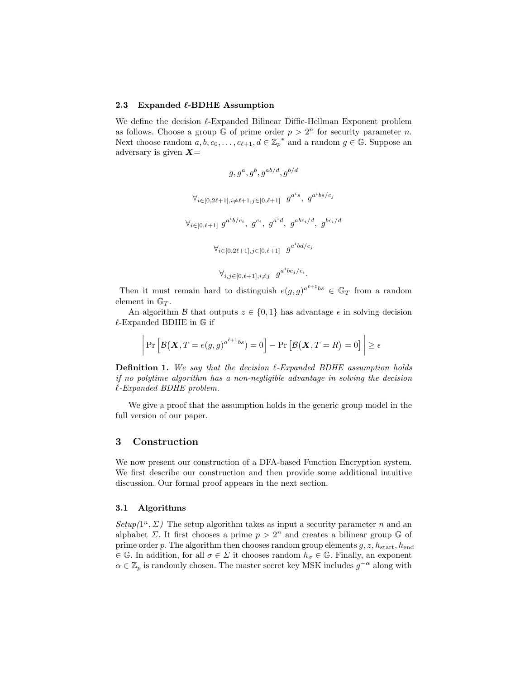#### 2.3 Expanded  $\ell$ -BDHE Assumption

We define the decision  $\ell$ -Expanded Bilinear Diffie-Hellman Exponent problem as follows. Choose a group  $\mathbb{G}$  of prime order  $p > 2^n$  for security parameter n. Next choose random  $a, b, c_0, \ldots, c_{\ell+1}, d \in \mathbb{Z}_p^*$  and a random  $g \in \mathbb{G}$ . Suppose an adversary is given  $X=$ 

$$
g, g^a, g^b, g^{ab/d}, g^{b/d}
$$
  

$$
\forall_{i \in [0, 2\ell+1], i \neq \ell+1, j \in [0, \ell+1]} g^{a^i s}, g^{a^i b s / c_j}
$$
  

$$
\forall_{i \in [0, \ell+1]} g^{a^i b / c_i}, g^{c_i}, g^{a^i d}, g^{abc_i/d}, g^{bc_i/d}
$$
  

$$
\forall_{i \in [0, 2\ell+1], j \in [0, \ell+1]} g^{a^i b d / c_j}
$$
  

$$
\forall_{i, j \in [0, \ell+1], i \neq j} g^{a^i bc_j / c_i}.
$$

Then it must remain hard to distinguish  $e(g, g)^{a^{l+1}b^s} \in \mathbb{G}_T$  from a random element in  $\mathbb{G}_T$ .

An algorithm B that outputs  $z \in \{0,1\}$  has advantage  $\epsilon$  in solving decision  $\ell$ -Expanded BDHE in G if

$$
\left| \Pr \left[ \mathcal{B}(\boldsymbol{X}, T = e(g, g)^{a^{\ell+1}bs}) = 0 \right] - \Pr \left[ \mathcal{B}(\boldsymbol{X}, T = R) = 0 \right] \right| \ge \epsilon
$$

**Definition 1.** We say that the decision  $\ell$ -Expanded BDHE assumption holds if no polytime algorithm has a non-negligible advantage in solving the decision  $\ell$ -Expanded BDHE problem.

We give a proof that the assumption holds in the generic group model in the full version of our paper.

## 3 Construction

We now present our construction of a DFA-based Function Encryption system. We first describe our construction and then provide some additional intuitive discussion. Our formal proof appears in the next section.

#### 3.1 Algorithms

 $Setup(1^n, \Sigma)$  The setup algorithm takes as input a security parameter n and an alphabet  $\Sigma$ . It first chooses a prime  $p > 2^n$  and creates a bilinear group  $\mathbb{G}$  of prime order p. The algorithm then chooses random group elements  $g, z, h_{start}, h_{end}$  $\in \mathbb{G}$ . In addition, for all  $\sigma \in \Sigma$  it chooses random  $h_{\sigma} \in \mathbb{G}$ . Finally, an exponent  $\alpha \in \mathbb{Z}_p$  is randomly chosen. The master secret key MSK includes  $g^{-\alpha}$  along with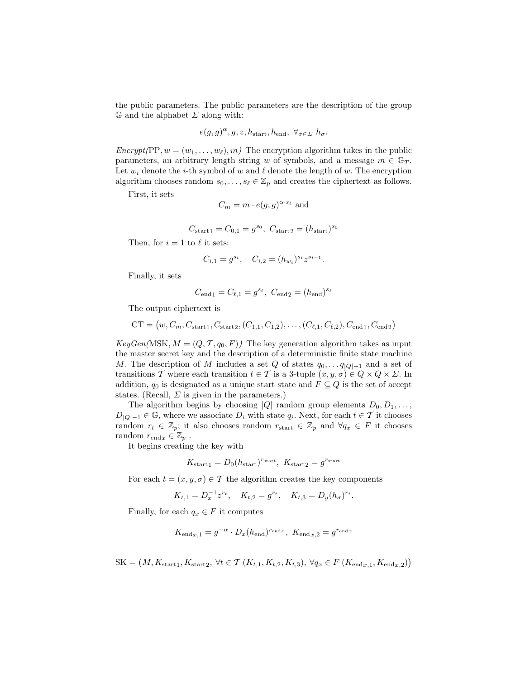the public parameters. The public parameters are the description of the group  $\mathbb G$  and the alphabet  $\Sigma$  along with:

$$
e(g,g)^{\alpha}, g, z, h_{\text{start}}, h_{\text{end}}, \forall_{\sigma \in \Sigma} h_{\sigma}.
$$

 $\text{Encrypt}(PP, w = (w_1, \ldots, w_\ell), m)$  The encryption algorithm takes in the public parameters, an arbitrary length string w of symbols, and a message  $m \in \mathbb{G}_T$ . Let  $w_i$  denote the *i*-th symbol of w and  $\ell$  denote the length of w. The encryption algorithm chooses random  $s_0, \ldots, s_\ell \in \mathbb{Z}_p$  and creates the ciphertext as follows.

First, it sets

$$
C_m = m \cdot e(g, g)^{\alpha \cdot s_\ell}
$$
 and

$$
C_{\text{start1}} = C_{0,1} = g^{s_0}, \ C_{\text{start2}} = (h_{\text{start}})^{s_0}
$$

Then, for  $i = 1$  to  $\ell$  it sets:

$$
C_{i,1} = g^{s_i}, \quad C_{i,2} = (h_{w_i})^{s_i} z^{s_{i-1}}.
$$

Finally, it sets

$$
C_{\text{end1}} = C_{\ell,1} = g^{s_{\ell}}, C_{\text{end2}} = (h_{\text{end}})^{s_{\ell}}
$$

The output ciphertext is

$$
CT = (w, C_m, C_{start1}, C_{start2}, (C_{1,1}, C_{1,2}), \dots, (C_{\ell,1}, C_{\ell,2}), C_{end1}, C_{end2})
$$

 $KeyGen(MSK, M = (Q, T, q_0, F))$  The key generation algorithm takes as input the master secret key and the description of a deterministic finite state machine M. The description of M includes a set Q of states  $q_0, \ldots, q_{|Q|-1}$  and a set of transitions T where each transition  $t \in T$  is a 3-tuple  $(x, y, \sigma) \in Q \times Q \times \Sigma$ . In addition,  $q_0$  is designated as a unique start state and  $F \subseteq Q$  is the set of accept states. (Recall,  $\Sigma$  is given in the parameters.)

The algorithm begins by choosing  $|Q|$  random group elements  $D_0, D_1, \ldots$ ,  $D_{|Q|=1} \in \mathbb{G}$ , where we associate  $D_i$  with state  $q_i$ . Next, for each  $t \in \mathcal{T}$  it chooses random  $r_t \in \mathbb{Z}_p$ ; it also chooses random  $r_{start} \in \mathbb{Z}_p$  and  $\forall q_x \in F$  it chooses random  $r_{endx} \in \mathbb{Z}_p$ .

It begins creating the key with

$$
K_{\text{start1}} = D_0 (h_{\text{start}})^{r_{\text{start}}}, \ K_{\text{start2}} = g^{r_{\text{start}}}
$$

For each  $t = (x, y, \sigma) \in \mathcal{T}$  the algorithm creates the key components

$$
K_{t,1} = D_x^{-1} z^{r_t}, \quad K_{t,2} = g^{r_t}, \quad K_{t,3} = D_y (h_\sigma)^{r_t}.
$$

Finally, for each  $q_x \in F$  it computes

$$
K_{\mathrm{end}x,1} = g^{-\alpha} \cdot D_x(h_{\mathrm{end}})^{\mathrm{read}x}, \ K_{\mathrm{end}x,2} = g^{\mathrm{read}x}
$$

 $SK = (M, K_{start1}, K_{start2}, \forall t \in T (K_{t,1}, K_{t,2}, K_{t,3}), \forall q_x \in F (K_{endx,1}, K_{endx,2}))$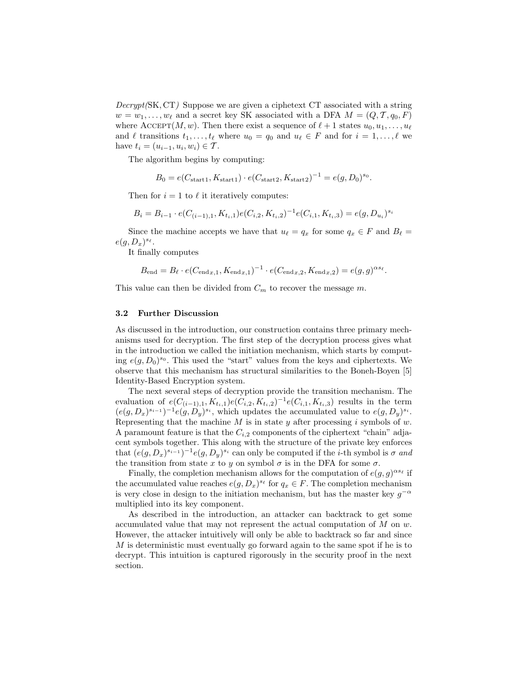Decrypt(SK, CT) Suppose we are given a ciphetext CT associated with a string  $w = w_1, \ldots, w_\ell$  and a secret key SK associated with a DFA  $M = (Q, \mathcal{T}, q_0, F)$ where  $\text{ACCEPT}(M, w)$ . Then there exist a sequence of  $\ell + 1$  states  $u_0, u_1, \ldots, u_\ell$ and  $\ell$  transitions  $t_1, \ldots, t_\ell$  where  $u_0 = q_0$  and  $u_\ell \in F$  and for  $i = 1, \ldots, \ell$  we have  $t_i = (u_{i-1}, u_i, w_i) \in \mathcal{T}$ .

The algorithm begins by computing:

$$
B_0 = e(C_{\text{start}1}, K_{\text{start}1}) \cdot e(C_{\text{start}2}, K_{\text{start}2})^{-1} = e(g, D_0)^{s_0}.
$$

Then for  $i = 1$  to  $\ell$  it iteratively computes:

$$
B_i = B_{i-1} \cdot e(C_{(i-1),1}, K_{t_i,1}) e(C_{i,2}, K_{t_i,2})^{-1} e(C_{i,1}, K_{t_i,3}) = e(g, D_{u_i})^{s_i}
$$

Since the machine accepts we have that  $u_{\ell} = q_x$  for some  $q_x \in F$  and  $B_{\ell} =$  $e(g, D_x)^{s_{\ell}}$ .

It finally computes

$$
B_{\text{end}} = B_{\ell} \cdot e(C_{\text{end }x,1}, K_{\text{end }x,1})^{-1} \cdot e(C_{\text{end }x,2}, K_{\text{end }x,2}) = e(g, g)^{\alpha s_{\ell}}.
$$

This value can then be divided from  $C_m$  to recover the message m.

#### 3.2 Further Discussion

As discussed in the introduction, our construction contains three primary mechanisms used for decryption. The first step of the decryption process gives what in the introduction we called the initiation mechanism, which starts by computing  $e(g, D_0)^{s_0}$ . This used the "start" values from the keys and ciphertexts. We observe that this mechanism has structural similarities to the Boneh-Boyen [5] Identity-Based Encryption system.

The next several steps of decryption provide the transition mechanism. The evaluation of  $e(C_{(i-1),1}, K_{t_i,1})e(C_{i,2}, K_{t_i,2})^{-1}e(C_{i,1}, K_{t_i,3})$  results in the term  $(e(g, D_x)^{s_{i-1}})^{-1}e(g, D_y)^{s_i}$ , which updates the accumulated value to  $e(g, D_y)^{s_i}$ . Representing that the machine  $M$  is in state  $y$  after processing i symbols of  $w$ . A paramount feature is that the  $C_{i,2}$  components of the ciphertext "chain" adjacent symbols together. This along with the structure of the private key enforces that  $(e(g, D_x)^{s_{i-1}})^{-1}e(g, D_y)^{s_i}$  can only be computed if the *i*-th symbol is  $\sigma$  and the transition from state x to y on symbol  $\sigma$  is in the DFA for some  $\sigma$ .

Finally, the completion mechanism allows for the computation of  $e(g, g)^{\alpha s_{\ell}}$  if the accumulated value reaches  $e(g, D_x)^{s_\ell}$  for  $q_x \in F$ . The completion mechanism is very close in design to the initiation mechanism, but has the master key  $g^{-\alpha}$ multiplied into its key component.

As described in the introduction, an attacker can backtrack to get some accumulated value that may not represent the actual computation of  $M$  on  $w$ . However, the attacker intuitively will only be able to backtrack so far and since M is deterministic must eventually go forward again to the same spot if he is to decrypt. This intuition is captured rigorously in the security proof in the next section.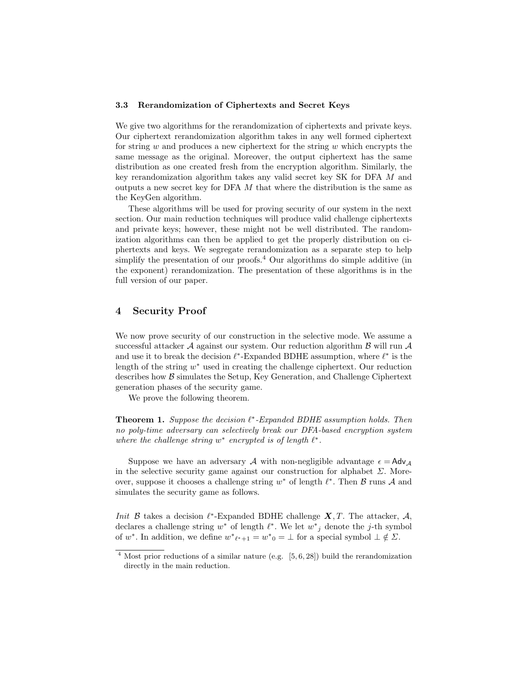#### 3.3 Rerandomization of Ciphertexts and Secret Keys

We give two algorithms for the rerandomization of ciphertexts and private keys. Our ciphertext rerandomization algorithm takes in any well formed ciphertext for string  $w$  and produces a new ciphertext for the string  $w$  which encrypts the same message as the original. Moreover, the output ciphertext has the same distribution as one created fresh from the encryption algorithm. Similarly, the key rerandomization algorithm takes any valid secret key SK for DFA M and outputs a new secret key for DFA  $M$  that where the distribution is the same as the KeyGen algorithm.

These algorithms will be used for proving security of our system in the next section. Our main reduction techniques will produce valid challenge ciphertexts and private keys; however, these might not be well distributed. The randomization algorithms can then be applied to get the properly distribution on ciphertexts and keys. We segregate rerandomization as a separate step to help simplify the presentation of our proofs.<sup>4</sup> Our algorithms do simple additive (in the exponent) rerandomization. The presentation of these algorithms is in the full version of our paper.

## 4 Security Proof

We now prove security of our construction in the selective mode. We assume a successful attacker  $\mathcal A$  against our system. Our reduction algorithm  $\mathcal B$  will run  $\mathcal A$ and use it to break the decision  $\ell^*$ -Expanded BDHE assumption, where  $\ell^*$  is the length of the string  $w^*$  used in creating the challenge ciphertext. Our reduction describes how B simulates the Setup, Key Generation, and Challenge Ciphertext generation phases of the security game.

We prove the following theorem.

**Theorem 1.** Suppose the decision  $\ell^*$ -Expanded BDHE assumption holds. Then no poly-time adversary can selectively break our DFA-based encryption system where the challenge string  $w^*$  encrypted is of length  $\ell^*$ .

Suppose we have an adversary A with non-negligible advantage  $\epsilon = Adv_A$ in the selective security game against our construction for alphabet  $\Sigma$ . Moreover, suppose it chooses a challenge string  $w^*$  of length  $\ell^*$ . Then  $\mathcal B$  runs  $\mathcal A$  and simulates the security game as follows.

Init B takes a decision  $\ell^*$ -Expanded BDHE challenge  $X, T$ . The attacker, A, declares a challenge string  $w^*$  of length  $\ell^*$ . We let  $w^*_{j}$  denote the j-th symbol of w<sup>\*</sup>. In addition, we define  $w^*_{\ell^*+1} = w^*_{0} = \bot$  for a special symbol  $\bot \notin \Sigma$ .

 $4$  Most prior reductions of a similar nature (e.g. [5, 6, 28]) build the rerandomization directly in the main reduction.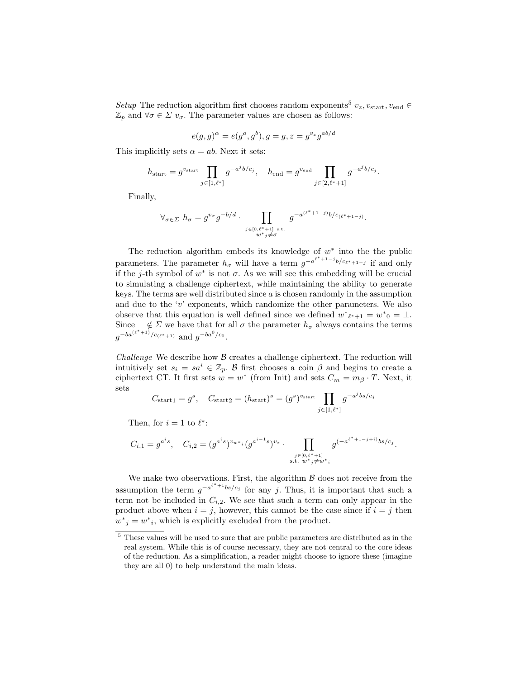Setup The reduction algorithm first chooses random exponents<sup>5</sup>  $v_z$ ,  $v_{\text{start}}$ ,  $v_{\text{end}}$  $\mathbb{Z}_p$  and  $\forall \sigma \in \Sigma$   $v_{\sigma}$ . The parameter values are chosen as follows:

$$
e(g, g)^{\alpha} = e(g^{a}, g^{b}), g = g, z = g^{v_z} g^{ab/d}
$$

This implicitly sets  $\alpha = ab$ . Next it sets:

$$
h_{\text{start}} = g^{v_{\text{start}}} \prod_{j \in [1, \ell^*]} g^{-a^j b/c_j}, \quad h_{\text{end}} = g^{v_{\text{end}}} \prod_{j \in [2, \ell^*+1]} g^{-a^j b/c_j}.
$$

Finally,

$$
\forall_{\sigma \in \Sigma} \ h_{\sigma} = g^{v_{\sigma}} g^{-b/d} \cdot \prod_{\substack{j \in [0,\ell^*+1] \ s.t. \\ w^* \cdot j \neq \sigma}} g^{-a^{(\ell^*+1-j)}b/c_{(\ell^*+1-j)}}.
$$

The reduction algorithm embeds its knowledge of  $w^*$  into the the public parameters. The parameter  $h_{\sigma}$  will have a term  $g^{-a^{\ell^*+1-j}b/c_{\ell^*+1-j}}$  if and only if the j-th symbol of  $w^*$  is not  $\sigma$ . As we will see this embedding will be crucial to simulating a challenge ciphertext, while maintaining the ability to generate keys. The terms are well distributed since a is chosen randomly in the assumption and due to the  $v'$  exponents, which randomize the other parameters. We also observe that this equation is well defined since we defined  $w^*_{\ell^*+1} = w^*_{0} = \bot$ . Since  $\perp \notin \Sigma$  we have that for all  $\sigma$  the parameter  $h_{\sigma}$  always contains the terms  $g^{-ba^{(\ell^*+1)}/c_{(\ell^*+1)}}$  and  $g^{-ba^0/c_0}$ .

Challenge We describe how  $\beta$  creates a challenge ciphertext. The reduction will intuitively set  $s_i = sa^i \in \mathbb{Z}_p$ . B first chooses a coin  $\beta$  and begins to create a ciphertext CT. It first sets  $w = w^*$  (from Init) and sets  $C_m = m_\beta \cdot T$ . Next, it sets

$$
C_{\text{start1}} = g^s, \quad C_{\text{start2}} = (h_{\text{start}})^s = (g^s)^{v_{\text{start}}} \prod_{j \in [1, \ell^*]} g^{-a^j bs / c_j}
$$

Then, for  $i = 1$  to  $\ell^*$ :

$$
C_{i,1} = g^{a^i s}, \quad C_{i,2} = (g^{a^i s})^{v_{w^* i}} (g^{a^{i-1} s})^{v_z} \cdot \prod_{\substack{j \in [0,\ell^*+1] \\ \text{s.t. } w^* j \neq w^* i}} g^{(-a^{\ell^*+1-j+i}) b s/c_j}.
$$

We make two observations. First, the algorithm  $\beta$  does not receive from the assumption the term  $g^{-a^{\ell^*+1}bs/c_j}$  for any j. Thus, it is important that such a term not be included in  $C_{i,2}$ . We see that such a term can only appear in the product above when  $i = j$ , however, this cannot be the case since if  $i = j$  then  $w^*_{j} = w^*_{i}$ , which is explicitly excluded from the product.

<sup>5</sup> These values will be used to sure that are public parameters are distributed as in the real system. While this is of course necessary, they are not central to the core ideas of the reduction. As a simplification, a reader might choose to ignore these (imagine they are all 0) to help understand the main ideas.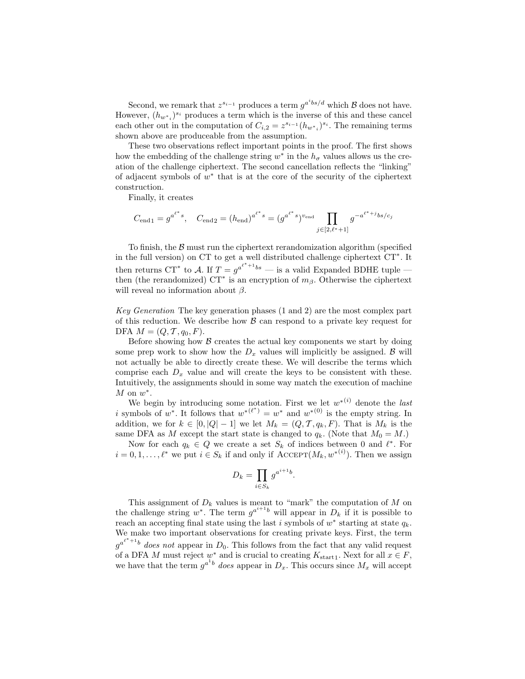Second, we remark that  $z^{s_{i-1}}$  produces a term  $g^{a^{i}bs/d}$  which  $\beta$  does not have. However,  $(h_{w^*_{i}})^{s_i}$  produces a term which is the inverse of this and these cancel each other out in the computation of  $C_{i,2} = z^{s_{i-1}}(h_{w^*_{i}})^{s_i}$ . The remaining terms shown above are produceable from the assumption.

These two observations reflect important points in the proof. The first shows how the embedding of the challenge string  $w^*$  in the  $h_{\sigma}$  values allows us the creation of the challenge ciphertext. The second cancellation reflects the "linking" of adjacent symbols of  $w^*$  that is at the core of the security of the ciphertext construction.

Finally, it creates

$$
C_{\text{end }1} = g^{a^{\ell^*} s}, \quad C_{\text{end }2} = (h_{\text{end}})^{a^{\ell^*} s} = (g^{a^{\ell^*} s})^{v_{\text{end}}} \prod_{j \in [2, \ell^*+1]} g^{-a^{\ell^*+j} bs / c_j}
$$

To finish, the  $\beta$  must run the ciphertext rerandomization algorithm (specified in the full version) on CT to get a well distributed challenge ciphertext CT<sup>∗</sup> . It then returns CT<sup>\*</sup> to A. If  $T = g^{a^{\ell^*+1}bs}$  — is a valid Expanded BDHE tuple then (the rerandomized)  $CT^*$  is an encryption of  $m_\beta$ . Otherwise the ciphertext will reveal no information about  $\beta$ .

Key Generation The key generation phases (1 and 2) are the most complex part of this reduction. We describe how  $\beta$  can respond to a private key request for DFA  $M = (Q, \mathcal{T}, q_0, F)$ .

Before showing how  $\beta$  creates the actual key components we start by doing some prep work to show how the  $D_x$  values will implicitly be assigned. B will not actually be able to directly create these. We will describe the terms which comprise each  $D_x$  value and will create the keys to be consistent with these. Intuitively, the assignments should in some way match the execution of machine  $M$  on  $w^*$ .

We begin by introducing some notation. First we let  $w^{*(i)}$  denote the *last* i symbols of  $w^*$ . It follows that  $w^{*(\ell^*)} = w^*$  and  $w^{*(0)}$  is the empty string. In addition, we for  $k \in [0, |Q| - 1]$  we let  $M_k = (Q, \mathcal{T}, q_k, F)$ . That is  $M_k$  is the same DFA as M except the start state is changed to  $q_k$ . (Note that  $M_0 = M$ .)

Now for each  $q_k \in Q$  we create a set  $S_k$  of indices between 0 and  $\ell^*$ . For  $i = 0, 1, \ldots, \ell^*$  we put  $i \in S_k$  if and only if  $\mathrm{ACCEPT}(M_k, w^{*(i)})$ . Then we assign

$$
D_k = \prod_{i \in S_k} g^{a^{i+1}b}.
$$

This assignment of  $D_k$  values is meant to "mark" the computation of M on the challenge string  $w^*$ . The term  $g^{a^{i+1}b}$  will appear in  $D_k$  if it is possible to reach an accepting final state using the last i symbols of  $w^*$  starting at state  $q_k$ . We make two important observations for creating private keys. First, the term  $g^{a^{e^*+1}b}$  does not appear in  $D_0$ . This follows from the fact that any valid request of a DFA M must reject  $\psi^*$  and is crucial to creating  $K_{\text{start1}}$ . Next for all  $x \in F$ , we have that the term  $g^{a^1b}$  does appear in  $D_x$ . This occurs since  $M_x$  will accept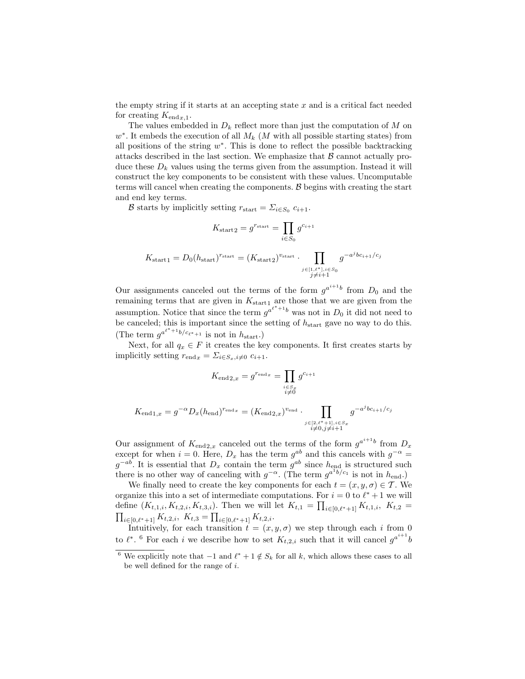the empty string if it starts at an accepting state  $x$  and is a critical fact needed for creating  $K_{\text{end }x,1}$ .

The values embedded in  $D_k$  reflect more than just the computation of M on  $w^*$ . It embeds the execution of all  $M_k$  (M with all possible starting states) from all positions of the string  $w^*$ . This is done to reflect the possible backtracking attacks described in the last section. We emphasize that  $\beta$  cannot actually produce these  $D_k$  values using the terms given from the assumption. Instead it will construct the key components to be consistent with these values. Uncomputable terms will cancel when creating the components.  $\beta$  begins with creating the start and end key terms.

B starts by implicitly setting  $r_{\text{start}} = \sum_{i \in S_0} c_{i+1}$ .

$$
K_{\text{start}2} = g^{r_{\text{start}}} = \prod_{i \in S_0} g^{c_{i+1}}
$$

$$
K_{\text{start}1} = D_0 (h_{\text{start}})^{r_{\text{start}}} = (K_{\text{start}2})^{v_{\text{start}}} \cdot \prod_{\substack{j \in [1, \ell^*], i \in S_0 \\ j \neq i+1}} g^{-a^j b c_{i+1}/c_j}
$$

Our assignments canceled out the terms of the form  $g^{a^{i+1}b}$  from  $D_0$  and the remaining terms that are given in  $K_{\text{start1}}$  are those that we are given from the assumption. Notice that since the term  $g^{a^{e^*}+1}$  was not in  $D_0$  it did not need to be canceled; this is important since the setting of  $h_{\text{start}}$  gave no way to do this. (The term  $g^{a^{\ell^*+1}b/c_{\ell^*+1}}$  is not in  $h_{\text{start}}$ .)

Next, for all  $q_x \in F$  it creates the key components. It first creates starts by implicitly setting  $r_{endx} = \sum_{i \in S_x, i \neq 0} c_{i+1}$ .

$$
K_{\mathrm{end2},x} = g^{r_{\mathrm{end}x}} = \prod_{\substack{i \in S_x \\ i \neq 0}} g^{c_{i+1}}
$$

$$
K_{\text{end }1,x} = g^{-\alpha} D_x (h_{\text{end}})^{r_{\text{end }x}} = (K_{\text{end }2,x})^{v_{\text{end}}} \cdot \prod_{\substack{j \in [2,\ell^*+1], i \in S_x \\ i \neq 0, j \neq i+1}} g^{-a^j b c_{i+1}/c_j}
$$

Our assignment of  $K_{end2,x}$  canceled out the terms of the form  $g^{a^{i+1}b}$  from  $D_x$ except for when  $i = 0$ . Here,  $D_x$  has the term  $g^{ab}$  and this cancels with  $g^{-\alpha} =$  $g^{-ab}$ . It is essential that  $D_x$  contain the term  $g^{ab}$  since  $h_{end}$  is structured such there is no other way of canceling with  $g^{-\alpha}$ . (The term  $g^{a^1b/c_1}$  is not in  $h_{end}$ .)

We finally need to create the key components for each  $t = (x, y, \sigma) \in \mathcal{T}$ . We organize this into a set of intermediate computations. For  $i = 0$  to  $\ell^* + 1$  we will define  $(K_{t,1,i}, K_{t,2,i}, K_{t,3,i})$ . Then we will let  $K_{t,1} = \prod_{i \in [0,\ell^*+1]} K_{t,1,i}, K_{t,2} =$  $\prod_{i\in[0,\ell^*+1]} K_{t,2,i},\ K_{t,3} = \prod_{i\in[0,\ell^*+1]} K_{t,2,i}.$ 

Intuitively, for each transition  $t = (x, y, \sigma)$  we step through each i from 0 to  $\ell^*$ . <sup>6</sup> For each i we describe how to set  $K_{t,2,i}$  such that it will cancel  $g^{a^{i+1}}b$ 

<sup>&</sup>lt;sup>6</sup> We explicitly note that  $-1$  and  $\ell^* + 1 \notin S_k$  for all k, which allows these cases to all be well defined for the range of i.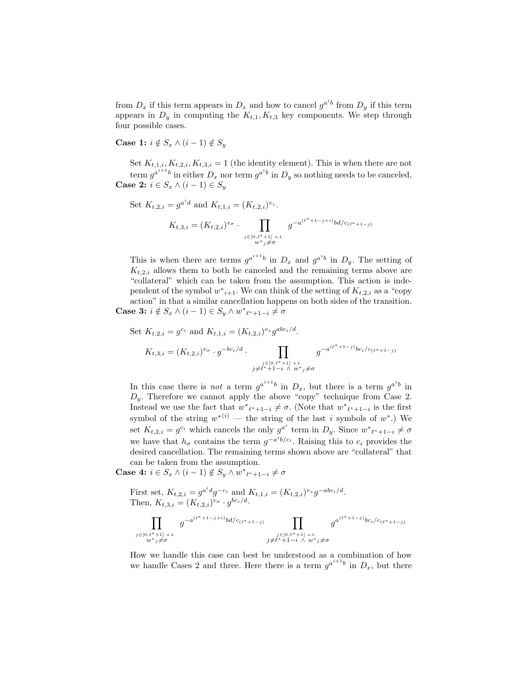from  $D_x$  if this term appears in  $D_x$  and how to cancel  $g^{a^i b}$  from  $D_y$  if this term appears in  $D_y$  in computing the  $K_{t,1}, K_{t,3}$  key components. We step through four possible cases.

Case 1:  $i \notin S_x \wedge (i-1) \notin S_y$ 

Set  $K_{t,1,i}, K_{t,2,i}, K_{t,3,i} = 1$  (the identity element). This is when there are not term  $g^{a^{i+1}b}$  in either  $D_x$  nor term  $g^{a^i b}$  in  $D_y$  so nothing needs to be canceled. Case 2:  $i \in S_x \wedge (i-1) \in S_y$ 

Set  $K_{t,2,i} = g^{a^i d}$  and  $K_{t,1,i} = (K_{t,2,i})^{v_z}$ .

$$
K_{t,3,i} = (K_{t,2,i})^{v_{\sigma}} \cdot \prod_{\substack{j \in [0,\ell^*+1] \text{ s.t.} \\ w^*j \neq \sigma}} g^{-a^{(\ell^*+1-j+i)}bd/c_{(\ell^*+1-j)}}
$$

This is when there are terms  $g^{a^{i+1}b}$  in  $D_x$  and  $g^{a^ib}$  in  $D_y$ . The setting of  $K_{t,2,i}$  allows them to both be canceled and the remaining terms above are "collateral" which can be taken from the assumption. This action is independent of the symbol  $w^*_{i+1}$ . We can think of the setting of  $K_{t,2,i}$  as a "copy" action" in that a similar cancellation happens on both sides of the transition. Case 3:  $i \notin S_x \land (i-1) \in S_y \land w^*_{\ell^*+1-i} \neq \sigma$ 

Set  $K_{t,2,i} = g^{c_i}$  and  $K_{t,1,i} = (K_{t,2,i})^{v_z} g^{abc_i/d}$ .  $K_{t,3,i} = (K_{t,2,i})^{v_{\sigma}} \cdot g^{-bc_i/d}$ .  $g^{-a^{(\ell^*+1-j)}bc_i/c_{(\ell^*+1-j)}}$ 

$$
\begin{array}{cc}\n\bullet & \bullet & \bullet \\
\downarrow \bullet \bullet \bullet \\
\downarrow \bullet \bullet \bullet \\
\downarrow \bullet \bullet \bullet \\
\downarrow \bullet \end{array}
$$
\n
$$
\begin{array}{c}\n\bullet \\
\downarrow \bullet \\
\downarrow \bullet \\
\downarrow \bullet \\
\downarrow \bullet \\
\downarrow \bullet\n\end{array}
$$

In this case there is *not* a term  $g^{a^{i+1}b}$  in  $D_x$ , but there is a term  $g^{a^i b}$  in  $D_y$ . Therefore we cannot apply the above "copy" technique from Case 2. Instead we use the fact that  $w^*_{\ell^*+1-i} \neq \sigma$ . (Note that  $w^*_{\ell^*+1-i}$  is the first symbol of the string  $w^{*(i)}$  — the string of the last i symbols of  $w^*$ .) We set  $K_{t,2,i} = g^{c_i}$  which cancels the only  $g^{a^i}$  term in  $D_y$ . Since  $w^*_{\ell^*+1-i} \neq \sigma$ we have that  $h_{\sigma}$  contains the term  $g^{-a^i b/c_i}$ . Raising this to  $c_i$  provides the desired cancellation. The remaining terms shown above are "collateral" that can be taken from the assumption.

Case 4:  $i \in S_x \wedge (i-1) \notin S_y \wedge w^*_{\ell^*+1-i} \neq \sigma$ 

First set, 
$$
K_{t,2,i} = g^{a^i d} g^{-c_i}
$$
 and  $K_{t,1,i} = (K_{t,2,i})^{v_z} g^{-abc_i/d}$ .  
Then,  $K_{t,3,i} = (K_{t,2,i})^{v_{\sigma}} \cdot g^{bc_i/d}$ .

$$
\prod_{\substack{j\in [0,\ell^*+1]\text{ s.t.}\\w^*j\neq\sigma}}g^{-a^{(\ell^*+1-j+i)}bd/c_{(\ell^*+1-j)}}\prod_{\substack{j\in [0,\ell^*+1]\text{ s.t.}\\j\neq \ell^*+1-i\ \wedge\ w^*_{j}\neq\sigma}}g^{a^{(\ell^*+1-j)}bc_i/c_{(\ell^*+1-j)}}
$$

How we handle this case can best be understood as a combination of how we handle Cases 2 and three. Here there is a term  $g^{a^{i+1}b}$  in  $D_x$ , but there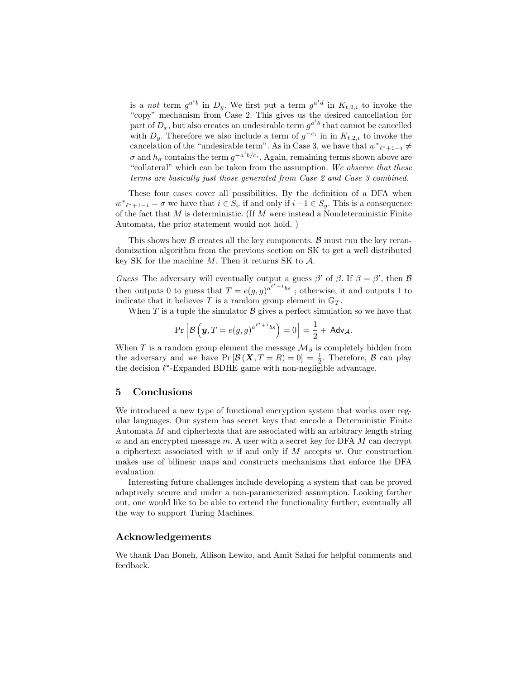is a *not* term  $g^{a^i b}$  in  $D_y$ . We first put a term  $g^{a^i d}$  in  $K_{t,2,i}$  to invoke the "copy" mechanism from Case 2. This gives us the desired cancellation for part of  $D_x$ , but also creates an undesirable term  $g^{a^i b}$  that cannot be cancelled with  $D_y$ . Therefore we also include a term of  $g^{-c_i}$  in in  $K_{t,2,i}$  to invoke the cancelation of the "undesirable term". As in Case 3, we have that  $w^*_{\ell^*+1-i} \neq$  $\sigma$  and  $h_{\sigma}$  contains the term  $g^{-a^ib/c_i}$ . Again, remaining terms shown above are "collateral" which can be taken from the assumption. We observe that these terms are basically just those generated from Case 2 and Case 3 combined.

These four cases cover all possibilities. By the definition of a DFA when  $w^*_{\ell^*+1-i} = \sigma$  we have that  $i \in S_x$  if and only if  $i-1 \in S_y$ . This is a consequence of the fact that  $M$  is deterministic. (If  $M$  were instead a Nondeterministic Finite Automata, the prior statement would not hold. )

This shows how  $\beta$  creates all the key components.  $\beta$  must run the key rerandomization algorithm from the previous section on SK to get a well distributed key SK for the machine  $M$ . Then it returns SK to  $\mathcal{A}$ .

Guess The adversary will eventually output a guess  $\beta'$  of  $\beta$ . If  $\beta = \beta'$ , then  $\beta$ then outputs 0 to guess that  $T = e(g, g)^{a^{k+1}b s}$ ; otherwise, it and outputs 1 to indicate that it believes T is a random group element in  $\mathbb{G}_T$ .

When  $T$  is a tuple the simulator  $\beta$  gives a perfect simulation so we have that

$$
\Pr\left[\mathcal{B}\left(\mathbf{y},T=e(g,g)^{a^{\ell^*+1}bs}\right)=0\right]=\frac{1}{2}+\mathsf{Adv}_{\mathcal{A}}.
$$

When T is a random group element the message  $\mathcal{M}_{\beta}$  is completely hidden from the adversary and we have  $Pr[\mathcal{B}(X,T = R) = 0] = \frac{1}{2}$ . Therefore,  $\mathcal{B}$  can play the decision  $\ell^*$ -Expanded BDHE game with non-negligible advantage.

## 5 Conclusions

We introduced a new type of functional encryption system that works over regular languages. Our system has secret keys that encode a Deterministic Finite Automata M and ciphertexts that are associated with an arbitrary length string w and an encrypted message m. A user with a secret key for DFA  $M$  can decrypt a ciphertext associated with  $w$  if and only if  $M$  accepts  $w$ . Our construction makes use of bilinear maps and constructs mechanisms that enforce the DFA evaluation.

Interesting future challenges include developing a system that can be proved adaptively secure and under a non-parameterized assumption. Looking farther out, one would like to be able to extend the functionality further, eventually all the way to support Turing Machines.

## Acknowledgements

We thank Dan Boneh, Allison Lewko, and Amit Sahai for helpful comments and feedback.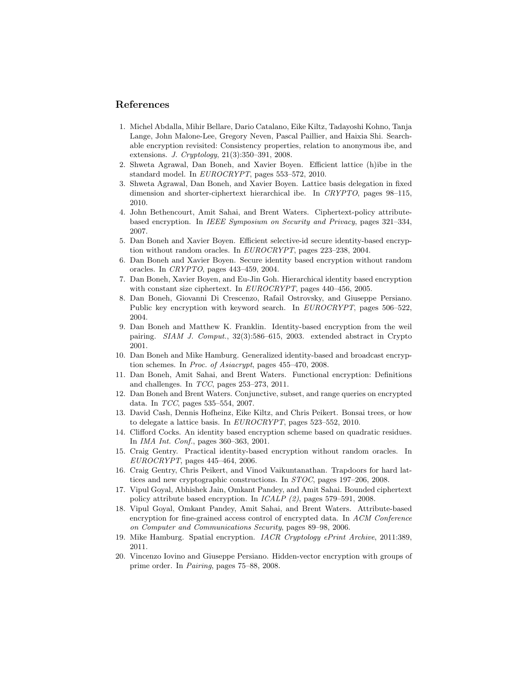## References

- 1. Michel Abdalla, Mihir Bellare, Dario Catalano, Eike Kiltz, Tadayoshi Kohno, Tanja Lange, John Malone-Lee, Gregory Neven, Pascal Paillier, and Haixia Shi. Searchable encryption revisited: Consistency properties, relation to anonymous ibe, and extensions. J. Cryptology, 21(3):350–391, 2008.
- 2. Shweta Agrawal, Dan Boneh, and Xavier Boyen. Efficient lattice (h)ibe in the standard model. In EUROCRYPT, pages 553–572, 2010.
- 3. Shweta Agrawal, Dan Boneh, and Xavier Boyen. Lattice basis delegation in fixed dimension and shorter-ciphertext hierarchical ibe. In CRYPTO, pages 98–115, 2010.
- 4. John Bethencourt, Amit Sahai, and Brent Waters. Ciphertext-policy attributebased encryption. In IEEE Symposium on Security and Privacy, pages 321–334, 2007.
- 5. Dan Boneh and Xavier Boyen. Efficient selective-id secure identity-based encryption without random oracles. In EUROCRYPT, pages 223–238, 2004.
- 6. Dan Boneh and Xavier Boyen. Secure identity based encryption without random oracles. In CRYPTO, pages 443–459, 2004.
- 7. Dan Boneh, Xavier Boyen, and Eu-Jin Goh. Hierarchical identity based encryption with constant size ciphertext. In EUROCRYPT, pages 440–456, 2005.
- 8. Dan Boneh, Giovanni Di Crescenzo, Rafail Ostrovsky, and Giuseppe Persiano. Public key encryption with keyword search. In EUROCRYPT, pages 506–522, 2004.
- 9. Dan Boneh and Matthew K. Franklin. Identity-based encryption from the weil pairing. SIAM J. Comput., 32(3):586–615, 2003. extended abstract in Crypto 2001.
- 10. Dan Boneh and Mike Hamburg. Generalized identity-based and broadcast encryption schemes. In Proc. of Asiacrypt, pages 455–470, 2008.
- 11. Dan Boneh, Amit Sahai, and Brent Waters. Functional encryption: Definitions and challenges. In TCC, pages 253–273, 2011.
- 12. Dan Boneh and Brent Waters. Conjunctive, subset, and range queries on encrypted data. In TCC, pages 535–554, 2007.
- 13. David Cash, Dennis Hofheinz, Eike Kiltz, and Chris Peikert. Bonsai trees, or how to delegate a lattice basis. In EUROCRYPT, pages 523–552, 2010.
- 14. Clifford Cocks. An identity based encryption scheme based on quadratic residues. In IMA Int. Conf., pages 360–363, 2001.
- 15. Craig Gentry. Practical identity-based encryption without random oracles. In EUROCRYPT, pages 445–464, 2006.
- 16. Craig Gentry, Chris Peikert, and Vinod Vaikuntanathan. Trapdoors for hard lattices and new cryptographic constructions. In STOC, pages 197–206, 2008.
- 17. Vipul Goyal, Abhishek Jain, Omkant Pandey, and Amit Sahai. Bounded ciphertext policy attribute based encryption. In ICALP (2), pages 579–591, 2008.
- 18. Vipul Goyal, Omkant Pandey, Amit Sahai, and Brent Waters. Attribute-based encryption for fine-grained access control of encrypted data. In ACM Conference on Computer and Communications Security, pages 89–98, 2006.
- 19. Mike Hamburg. Spatial encryption. IACR Cryptology ePrint Archive, 2011:389, 2011.
- 20. Vincenzo Iovino and Giuseppe Persiano. Hidden-vector encryption with groups of prime order. In Pairing, pages 75–88, 2008.